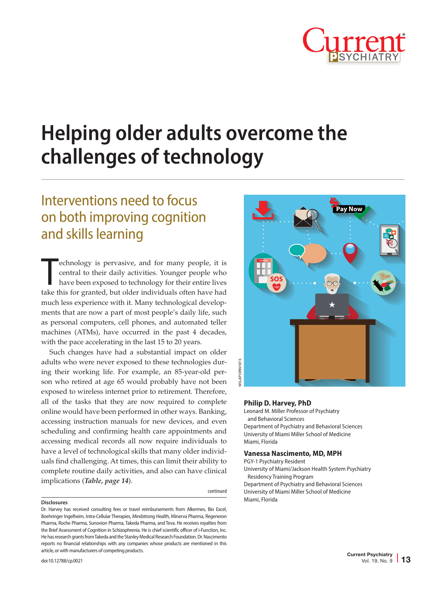

# **Helping older adults overcome the challenges of technology**

## Interventions need to focus on both improving cognition and skills learning

echnology is pervasive, and for many people, it is central to their daily activities. Younger people who have been exposed to technology for their entire lives take this for granted, but older individuals often have had echnology is pervasive, and for many people, it is central to their daily activities. Younger people who have been exposed to technology for their entire lives much less experience with it. Many technological developments that are now a part of most people's daily life, such as personal computers, cell phones, and automated teller machines (ATMs), have occurred in the past 4 decades, with the pace accelerating in the last 15 to 20 years.

Such changes have had a substantial impact on older adults who were never exposed to these technologies during their working life. For example, an 85-year-old person who retired at age 65 would probably have not been exposed to wireless internet prior to retirement. Therefore, all of the tasks that they are now required to complete online would have been performed in other ways. Banking, accessing instruction manuals for new devices, and even scheduling and confirming health care appointments and accessing medical records all now require individuals to have a level of technological skills that many older individuals find challenging. At times, this can limit their ability to complete routine daily activities, and also can have clinical implications (*Table, page 14*).

#### **Disclosures**

continued

Dr. Harvey has received consulting fees or travel reimbursements from Alkermes, Bio Excel, Boehringer Ingelheim, Intra-Cellular Therapies, Mindstrong Health, Minerva Pharma, Regeneron Pharma, Roche Pharma, Sunovion Pharma, Takeda Pharma, and Teva. He receives royalties from the Brief Assessment of Cognition in Schizophrenia. He is chief scientific officer of i-Function, Inc. He has research grants from Takeda and the Stanley Medical Research Foundation. Dr. Nascimento reports no financial relationships with any companies whose products are mentioned in this article, or with manufacturers of competing products.



#### **Philip D. Harvey, PhD**

Leonard M. Miller Professor of Psychiatry and Behavioral Sciences Department of Psychiatry and Behavioral Sciences University of Miami Miller School of Medicine Miami, Florida

#### **Vanessa Nascimento, MD, MPH**

PGY-1 Psychiatry Resident

University of Miami/Jackson Health System Psychiatry Residency Training Program

Department of Psychiatry and Behavioral Sciences University of Miami Miller School of Medicine Miami, Florida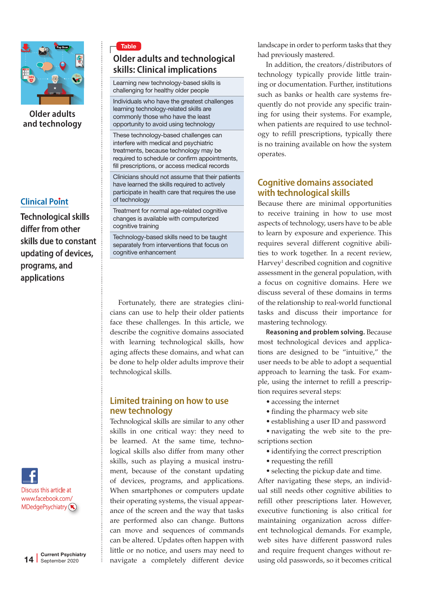

**Older adults and technology**

### **Clinical Point**

Technological skills differ from other skills due to constant updating of devices, programs, and applications



## Table **Older adults and technological skills: Clinical implications**

Learning new technology-based skills is challenging for healthy older people

Individuals who have the greatest challenges learning technology-related skills are commonly those who have the least opportunity to avoid using technology

These technology-based challenges can interfere with medical and psychiatric treatments, because technology may be required to schedule or confirm appointments, fill prescriptions, or access medical records

Clinicians should not assume that their patients have learned the skills required to actively participate in health care that requires the use of technology

Treatment for normal age-related cognitive changes is available with computerized cognitive training

Technology-based skills need to be taught separately from interventions that focus on cognitive enhancement

Fortunately, there are strategies clinicians can use to help their older patients face these challenges. In this article, we describe the cognitive domains associated with learning technological skills, how aging affects these domains, and what can be done to help older adults improve their technological skills.

#### **Limited training on how to use new technology**

Technological skills are similar to any other skills in one critical way: they need to be learned. At the same time, technological skills also differ from many other skills, such as playing a musical instrument, because of the constant updating of devices, programs, and applications. When smartphones or computers update their operating systems, the visual appearance of the screen and the way that tasks are performed also can change. Buttons can move and sequences of commands can be altered. Updates often happen with little or no notice, and users may need to navigate a completely different device landscape in order to perform tasks that they had previously mastered.

In addition, the creators/distributors of technology typically provide little training or documentation. Further, institutions such as banks or health care systems frequently do not provide any specific training for using their systems. For example, when patients are required to use technology to refill prescriptions, typically there is no training available on how the system operates.

## **Cognitive domains associated with technological skills**

Because there are minimal opportunities to receive training in how to use most aspects of technology, users have to be able to learn by exposure and experience. This requires several different cognitive abilities to work together. In a recent review, Harvey<sup>1</sup> described cognition and cognitive assessment in the general population, with a focus on cognitive domains. Here we discuss several of these domains in terms of the relationship to real-world functional tasks and discuss their importance for mastering technology.

**Reasoning and problem solving.** Because most technological devices and applications are designed to be "intuitive," the user needs to be able to adopt a sequential approach to learning the task. For example, using the internet to refill a prescription requires several steps:

• accessing the internet

- finding the pharmacy web site
- establishing a user ID and password

• navigating the web site to the prescriptions section

- identifying the correct prescription
- requesting the refill

• selecting the pickup date and time. After navigating these steps, an individual still needs other cognitive abilities to refill other prescriptions later. However, executive functioning is also critical for maintaining organization across different technological demands. For example, web sites have different password rules and require frequent changes without reusing old passwords, so it becomes critical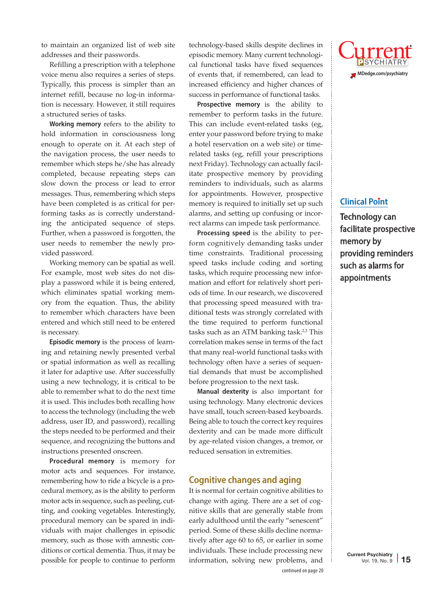to maintain an organized list of web site addresses and their passwords.

Refilling a prescription with a telephone voice menu also requires a series of steps. Typically, this process is simpler than an internet refill, because no log-in information is necessary. However, it still requires a structured series of tasks.

**Working memory** refers to the ability to hold information in consciousness long enough to operate on it. At each step of the navigation process, the user needs to remember which steps he/she has already completed, because repeating steps can slow down the process or lead to error messages. Thus, remembering which steps have been completed is as critical for performing tasks as is correctly understanding the anticipated sequence of steps. Further, when a password is forgotten, the user needs to remember the newly provided password.

Working memory can be spatial as well. For example, most web sites do not display a password while it is being entered, which eliminates spatial working memory from the equation. Thus, the ability to remember which characters have been entered and which still need to be entered is necessary.

**Episodic memory** is the process of learning and retaining newly presented verbal or spatial information as well as recalling it later for adaptive use. After successfully using a new technology, it is critical to be able to remember what to do the next time it is used. This includes both recalling how to access the technology (including the web address, user ID, and password), recalling the steps needed to be performed and their sequence, and recognizing the buttons and instructions presented onscreen.

**Procedural memory** is memory for motor acts and sequences. For instance, remembering how to ride a bicycle is a procedural memory, as is the ability to perform motor acts in sequence, such as peeling, cutting, and cooking vegetables. Interestingly, procedural memory can be spared in individuals with major challenges in episodic memory, such as those with amnestic conditions or cortical dementia. Thus, it may be possible for people to continue to perform

technology-based skills despite declines in episodic memory. Many current technological functional tasks have fixed sequences of events that, if remembered, can lead to increased efficiency and higher chances of success in performance of functional tasks.

**Prospective memory** is the ability to remember to perform tasks in the future. This can include event-related tasks (eg, enter your password before trying to make a hotel reservation on a web site) or timerelated tasks (eg, refill your prescriptions next Friday). Technology can actually facilitate prospective memory by providing reminders to individuals, such as alarms for appointments. However, prospective memory is required to initially set up such alarms, and setting up confusing or incorrect alarms can impede task performance.

**Processing speed** is the ability to perform cognitively demanding tasks under time constraints. Traditional processing speed tasks include coding and sorting tasks, which require processing new information and effort for relatively short periods of time. In our research, we discovered that processing speed measured with traditional tests was strongly correlated with the time required to perform functional tasks such as an ATM banking task. $2,3$  This correlation makes sense in terms of the fact that many real-world functional tasks with technology often have a series of sequential demands that must be accomplished before progression to the next task.

**Manual dexterity** is also important for using technology. Many electronic devices have small, touch screen-based keyboards. Being able to touch the correct key requires dexterity and can be made more difficult by age-related vision changes, a tremor, or reduced sensation in extremities.

#### **Cognitive changes and aging**

It is normal for certain cognitive abilities to change with aging. There are a set of cognitive skills that are generally stable from early adulthood until the early "senescent" period. Some of these skills decline normatively after age 60 to 65, or earlier in some individuals. These include processing new information, solving new problems, and



### **Clinical Point**

Technology can facilitate prospective memory by providing reminders such as alarms for appointments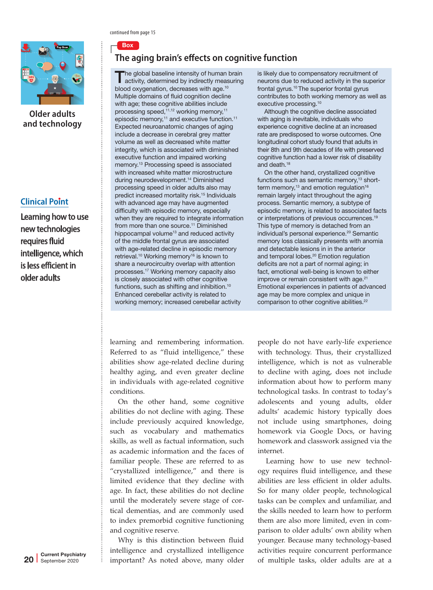

**Older adults and technology**

### **Clinical Point**

Learning how to use new technologies requires fluid intelligence, which is less efficient in older adults

continued from page 15

Box

## **The aging brain's effects on cognitive function**

The global baseline intensity of human brain<br>activity, determined by indirectly measuring blood oxygenation, decreases with age.10 Multiple domains of fluid cognition decline with age; these cognitive abilities include processing speed,<sup>11,12</sup> working memory,<sup>11</sup> episodic memory,<sup>11</sup> and executive function.<sup>11</sup> Expected neuroanatomic changes of aging include a decrease in cerebral grey matter volume as well as decreased white matter integrity, which is associated with diminished executive function and impaired working memory.13 Processing speed is associated with increased white matter microstructure during neurodevelopment.14 Diminished processing speed in older adults also may predict increased mortality risk.15 Individuals with advanced age may have augmented difficulty with episodic memory, especially when they are required to integrate information from more than one source.<sup>11</sup> Diminished hippocampal volume<sup>13</sup> and reduced activity of the middle frontal gyrus are associated with age-related decline in episodic memory retrieval.<sup>10</sup> Working memory<sup>16</sup> is known to share a neurocircuitry overlap with attention processes.17 Working memory capacity also is closely associated with other cognitive functions, such as shifting and inhibition.10 Enhanced cerebellar activity is related to working memory; increased cerebellar activity

is likely due to compensatory recruitment of neurons due to reduced activity in the superior frontal gyrus.<sup>10</sup> The superior frontal gyrus contributes to both working memory as well as executive processing.10

Although the cognitive decline associated with aging is inevitable, individuals who experience cognitive decline at an increased rate are predisposed to worse outcomes. One longitudinal cohort study found that adults in their 8th and 9th decades of life with preserved cognitive function had a lower risk of disability and death.<sup>18</sup>

On the other hand, crystallized cognitive functions such as semantic memory,<sup>13</sup> shortterm memory, $13$  and emotion regulation $16$ remain largely intact throughout the aging process. Semantic memory, a subtype of episodic memory, is related to associated facts or interpretations of previous occurrences.19 This type of memory is detached from an individual's personal experience.<sup>20</sup> Semantic memory loss classically presents with anomia and detectable lesions in in the anterior and temporal lobes.<sup>20</sup> Emotion regulation deficits are not a part of normal aging; in fact, emotional well-being is known to either improve or remain consistent with age.<sup>21</sup> Emotional experiences in patients of advanced age may be more complex and unique in comparison to other cognitive abilities.<sup>22</sup>

learning and remembering information. Referred to as "fluid intelligence," these abilities show age-related decline during healthy aging, and even greater decline in individuals with age-related cognitive conditions.

On the other hand, some cognitive abilities do not decline with aging. These include previously acquired knowledge, such as vocabulary and mathematics skills, as well as factual information, such as academic information and the faces of familiar people. These are referred to as "crystallized intelligence," and there is limited evidence that they decline with age. In fact, these abilities do not decline until the moderately severe stage of cortical dementias, and are commonly used to index premorbid cognitive functioning and cognitive reserve.

Why is this distinction between fluid intelligence and crystallized intelligence important? As noted above, many older people do not have early-life experience with technology. Thus, their crystallized intelligence, which is not as vulnerable to decline with aging, does not include information about how to perform many technological tasks. In contrast to today's adolescents and young adults, older adults' academic history typically does not include using smartphones, doing homework via Google Docs, or having homework and classwork assigned via the internet.

Learning how to use new technology requires fluid intelligence, and these abilities are less efficient in older adults. So for many older people, technological tasks can be complex and unfamiliar, and the skills needed to learn how to perform them are also more limited, even in comparison to older adults' own ability when younger. Because many technology-based activities require concurrent performance of multiple tasks, older adults are at a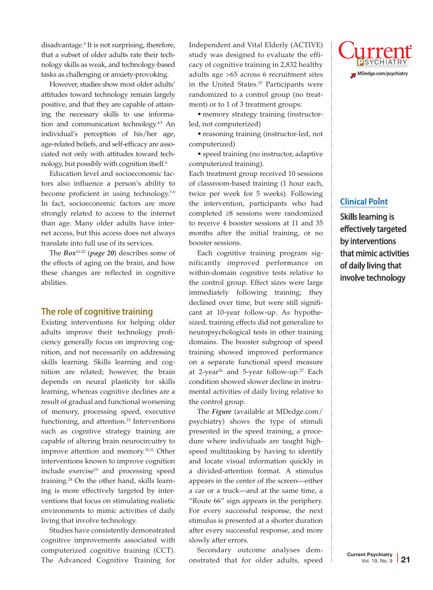disadvantage.4 It is not surprising, therefore, that a subset of older adults rate their technology skills as weak, and technology-based tasks as challenging or anxiety-provoking.

However, studies show most older adults' attitudes toward technology remain largely positive, and that they are capable of attaining the necessary skills to use information and communication technology. $45$  An individual's perception of his/her age, age-related beliefs, and self-efficacy are associated not only with attitudes toward technology, but possibly with cognition itself. 6

Education level and socioeconomic factors also influence a person's ability to become proficient in using technology.<sup>7-9</sup> In fact, socioeconomic factors are more strongly related to access to the internet than age. Many older adults have internet access, but this access does not always translate into full use of its services.

The *Box*10-22 (*page 20*) describes some of the effects of aging on the brain, and how these changes are reflected in cognitive abilities.

#### **The role of cognitive training**

Existing interventions for helping older adults improve their technology proficiency generally focus on improving cognition, and not necessarily on addressing skills learning. Skills learning and cognition are related; however, the brain depends on neural plasticity for skills learning, whereas cognitive declines are a result of gradual and functional worsening of memory, processing speed, executive functioning, and attention.<sup>23</sup> Interventions such as cognitive strategy training are capable of altering brain neurocircuitry to improve attention and memory.<sup>10,11</sup> Other interventions known to improve cognition include exercise<sup>10</sup> and processing speed training.24 On the other hand, skills learning is more effectively targeted by interventions that focus on stimulating realistic environments to mimic activities of daily living that involve technology.

Studies have consistently demonstrated cognitive improvements associated with computerized cognitive training (CCT). The Advanced Cognitive Training for Independent and Vital Elderly (ACTIVE) study was designed to evaluate the efficacy of cognitive training in 2,832 healthy adults age >65 across 6 recruitment sites in the United States.25 Participants were randomized to a control group (no treatment) or to 1 of 3 treatment groups:

• memory strategy training (instructorled, not computerized)

• reasoning training (instructor-led, not computerized)

• speed training (no instructor, adaptive computerized training).

Each treatment group received 10 sessions of classroom-based training (1 hour each, twice per week for 5 weeks). Following the intervention, participants who had completed ≥8 sessions were randomized to receive 4 booster sessions at 11 and 35 months after the initial training, or no booster sessions.

Each cognitive training program significantly improved performance on within-domain cognitive tests relative to the control group. Effect sizes were large immediately following training; they declined over time, but were still significant at 10-year follow-up. As hypothesized, training effects did not generalize to neuropsychological tests in other training domains. The booster subgroup of speed training showed improved performance on a separate functional speed measure at 2-year<sup>26</sup> and 5-year follow-up.<sup>27</sup> Each condition showed slower decline in instrumental activities of daily living relative to the control group.

The *Figure* (available at MDedge.com/ psychiatry) shows the type of stimuli presented in the speed training, a procedure where individuals are taught highspeed multitasking by having to identify and locate visual information quickly in a divided-attention format. A stimulus appears in the center of the screen—either a car or a truck—and at the same time, a "Route 66" sign appears in the periphery. For every successful response, the next stimulus is presented at a shorter duration after every successful response, and more slowly after errors.

Secondary outcome analyses demonstrated that for older adults, speed



#### **Clinical Point**

Skills learning is effectively targeted by interventions that mimic activities of daily living that involve technology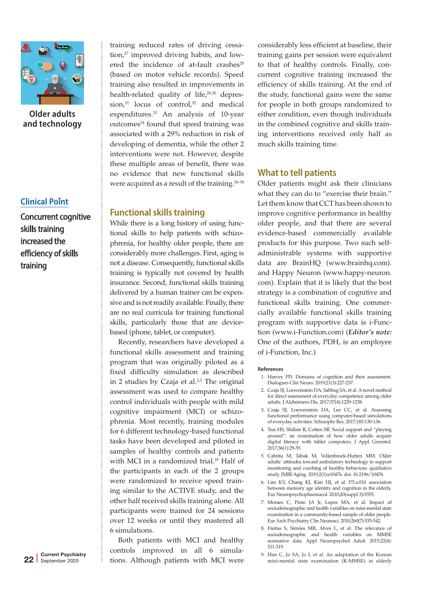

**Older adults and technology**

#### **Clinical Point**

Concurrent cognitive skills training increased the efficiency of skills training

training reduced rates of driving cessation,27 improved driving habits, and lowered the incidence of at-fault crashes $^{28}$ (based on motor vehicle records). Speed training also resulted in improvements in health-related quality of life,<sup>29,30</sup> depression, $31$  locus of control, $32$  and medical expenditures.33 An analysis of 10-year outcomes<sup>34</sup> found that speed training was associated with a 29% reduction in risk of developing of dementia, while the other 2 interventions were not. However, despite these multiple areas of benefit, there was no evidence that new functional skills were acquired as a result of the training.<sup>26-34</sup>

#### **Functional skills training**

While there is a long history of using functional skills to help patients with schizophrenia, for healthy older people, there are considerably more challenges. First, aging is not a disease. Consequently, functional skills training is typically not covered by health insurance. Second, functional skills training delivered by a human trainer can be expensive and is not readily available. Finally, there are no real curricula for training functional skills, particularly those that are devicebased (phone, tablet, or computer).

Recently, researchers have developed a functional skills assessment and training program that was originally piloted as a fixed difficulty simulation as described in 2 studies by Czaja et al. $2<sup>3</sup>$  The original assessment was used to compare healthy control individuals with people with mild cognitive impairment (MCI) or schizophrenia. Most recently, training modules for 6 different technology-based functional tasks have been developed and piloted in samples of healthy controls and patients with MCI in a randomized trial.35 Half of the participants in each of the 2 groups were randomized to receive speed training similar to the ACTIVE study, and the other half received skills training alone. All participants were trained for 24 sessions over 12 weeks or until they mastered all 6 simulations.

Both patients with MCI and healthy controls improved in all 6 simulations. Although patients with MCI were

considerably less efficient at baseline, their training gains per session were equivalent to that of healthy controls. Finally, concurrent cognitive training increased the efficiency of skills training. At the end of the study, functional gains were the same for people in both groups randomized to either condition, even though individuals in the combined cognitive and skills training interventions received only half as much skills training time.

#### **What to tell patients**

Older patients might ask their clinicians what they can do to "exercise their brain." Let them know that CCT has been shown to improve cognitive performance in healthy older people, and that there are several evidence-based commercially available products for this purpose. Two such selfadministrable systems with supportive data are BrainHQ (www.brainhq.com). and Happy Neuron (www.happy-neuron. com). Explain that it is likely that the best strategy is a combination of cognitive and functional skills training. One commercially available functional skills training program with supportive data is i-Function (www.i-Function.com) (*Editor's note:*  One of the authors, PDH, is an employee of i-Function, Inc.)

#### **References**

- 1. Harvey PD. Domains of cognition and their assessment. Dialogues Clin Neuro. 2019;21(3):227-237.
- 2. Czaja SJ, Loewenstein DA, Sabbag SA, et al. A novel method for direct assessment of everyday competence among older adults. J Alzheimers Dis. 2017;57(4):1229-1238.
- 3. Czaja SJ, Loewenstein DA, Lee CC, et al. Assessing functional performance using computer-based simulations of everyday activities. Schizophr Res. 2017;183:130-136.
- 4. Tsai HS, Shillair R, Cotten SR. Social support and "playing around": an examination of how older adults acquire digital literacy with tablet computers. J Appl Gerontol. 2017;36(1):29-55.
- 5. Cabrita M, Tabak M, Vollenbroek-Hutten MM. Older adults' attitudes toward ambulatory technology to support monitoring and coaching of healthy behaviors: qualitative study. JMIR Aging. 2019;2(1):e10476. doi: 10.2196/10476.
- 6. Lim KY, Chang KJ, Kim HJ, et al. P.5.a.010 association between memory age identity and cognition in the elderly. Eur Neuropsychopharmacol. 2010;20(suppl 3):S555.
- 7. Moraes C, Pinto JA Jr, Lopes MA, et al. Impact of sociodemographic and health variables on mini-mental state examination in a community-based sample of older people. Eur Arch Psychiatry Clin Neurosci. 2010;260(7):535-542.
- 8. Freitas S, Simões MR, Alves L, et al. The relevance of sociodemographic and health variables on MMSE normative data. Appl Neuropsychol Adult. 2015;22(4): 311-319.
- 9. Han C, Jo SA, Jo I, et al. An adaptation of the Korean mini-mental state examination (K-MMSE) in elderly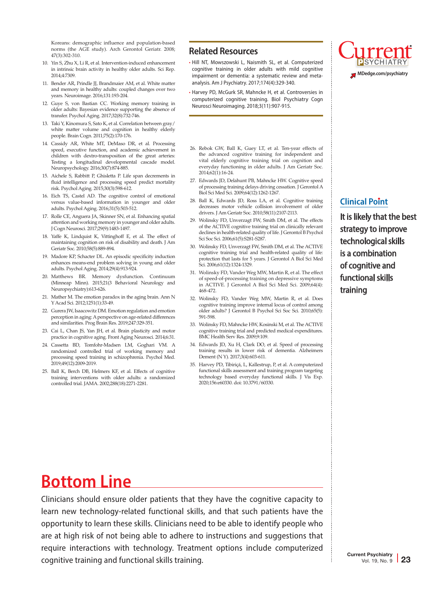Koreans: demographic influence and population-based norms (the AGE study). Arch Gerontol Geriatr. 2008; 47(3):302-310.

- 10. Yin S, Zhu X, Li R, et al. Intervention-induced enhancement in intrinsic brain activity in healthy older adults. Sci Rep. 2014;4:7309.
- 11. Bender AR, Prindle JJ, Brandmaier AM, et al. White matter and memory in healthy adults: coupled changes over two years. Neuroimage. 2016;131:193-204.
- 12. Guye S, von Bastian CC. Working memory training in older adults: Bayesian evidence supporting the absence of transfer. Psychol Aging. 2017;32(8):732-746.
- 13. Taki Y, Kinomura S, Sato K, et al. Correlation between gray/ white matter volume and cognition in healthy elderly people. Brain Cogn. 2011;75(2):170-176.
- 14. Cassidy AR, White MT, DeMaso DR, et al. Processing speed, executive function, and academic achievement in children with dextro-transposition of the great arteries: Testing a longitudinal developmental cascade model. Neuropsychology. 2016;30(7):874-885.
- 15. Aichele S, Rabbitt P, Ghisletta P. Life span decrements in fluid intelligence and processing speed predict mortality risk. Psychol Aging. 2015;30(3):598-612.
- 16. Eich TS, Castel AD. The cognitive control of emotional versus value-based information in younger and older adults. Psychol Aging. 2016;31(5):503-512.
- 17. Rolle CE, Anguera JA, Skinner SN, et al. Enhancing spatial attention and working memory in younger and older adults. J Cogn Neurosci. 2017;29(9):1483-1497.
- 18. Yaffe K, Lindquist K, Vittinghoff E, et al. The effect of maintaining cognition on risk of disability and death. J Am Geriatr Soc. 2010;58(5):889-894.
- 19. Madore KP, Schacter DL. An episodic specificity induction enhances means-end problem solving in young and older adults. Psychol Aging. 2014;29(4):913-924.
- 20. Matthews BR. Memory dysfunction. Continuum (Minneap Minn). 2015;21(3 Behavioral Neurology and Neuropsychiatry):613-626.
- 21. Mather M. The emotion paradox in the aging brain. Ann N Y Acad Sci. 2012;1251(1):33-49.
- 22. Gurera JW, Isaacowitz DM. Emotion regulation and emotion perception in aging: A perspective on age-related differences and similarities. Prog Brain Res. 2019;247:329-351.
- 23. Cai L, Chan JS, Yan JH, et al. Brain plasticity and motor practice in cognitive aging. Front Aging Neurosci. 2014;6:31.
- 24. Cassetta BD, Tomfohr-Madsen LM, Goghari VM. A randomized controlled trial of working memory and processing speed training in schizophrenia. Psychol Med. 2019;49(12):2009-2019.
- 25. Ball K, Berch DB, Helmers KF, et al. Effects of cognitive training interventions with older adults: a randomized controlled trial. JAMA. 2002;288(18):2271-2281.

#### **Related Resources**

- Hill NT, Mowszowski L, Naismith SL, et al. Computerized cognitive training in older adults with mild cognitive impairment or dementia: a systematic review and metaanalysis. Am J Psychiatry. 2017;174(4):329-340.
- Harvey PD, McGurk SR, Mahncke H, et al. Controversies in computerized cognitive training. Biol Psychiatry Cogn Neurosci Neuroimaging. 2018;3(11):907-915.
- 26. Rebok GW, Ball K, Guey LT, et al. Ten-year effects of the advanced cognitive training for independent and vital elderly cognitive training trial on cognition and everyday functioning in older adults. J Am Geriatr Soc. 2014;62(1):16-24.
- 27. Edwards JD, Delahunt PB, Mahncke HW. Cognitive speed of processing training delays driving cessation. J Gerontol A Biol Sci Med Sci. 2009;64(12):1262-1267.
- 28. Ball K, Edwards JD, Ross LA, et al. Cognitive training decreases motor vehicle collision involvement of older drivers. J Am Geriatr Soc. 2010;58(11):2107-2113.
- 29. Wolinsky FD, Unverzagt FW, Smith DM, et al. The effects of the ACTIVE cognitive training trial on clinically relevant declines in health-related quality of life. J Gerontol B Psychol Sci Soc Sci. 2006;61(5):S281-S287.
- 30. Wolinsky FD, Unverzagt FW, Smith DM, et al. The ACTIVE cognitive training trial and health-related quality of life: protection that lasts for 5 years. J Gerontol A Biol Sci Med Sci. 2006;61(12):1324-1329.
- 31. Wolinsky FD, Vander Weg MW, Martin R, et al. The effect of speed-of-processing training on depressive symptoms in ACTIVE. J Gerontol A Biol Sci Med Sci. 2009;64(4): 468-472.
- 32. Wolinsky FD, Vander Weg MW, Martin R, et al. Does cognitive training improve internal locus of control among older adults? J Gerontol B Psychol Sci Soc Sci. 2010;65(5): 591-598.
- 33. Wolinsky FD, Mahncke HW, Kosinski M, et al. The ACTIVE cognitive training trial and predicted medical expenditures. BMC Health Serv Res. 2009;9:109.
- 34. Edwards JD, Xu H, Clark DO, et al. Speed of processing training results in lower risk of dementia. Alzheimers Dement (N Y). 2017;3(4):603-611.
- 35. Harvey PD, Tibiriçá, L, Kallestrup, P, et al. A computerized functional skills assessment and training program targeting technology based everyday functional skills. J Vis Exp. 2020;156:e60330. doi: 10.3791/60330.



### **Clinical Point**

It is likely that the best strategy to improve technological skills is a combination of cognitive and functional skills training

## **Bottom Line**

Clinicians should ensure older patients that they have the cognitive capacity to learn new technology-related functional skills, and that such patients have the opportunity to learn these skills. Clinicians need to be able to identify people who are at high risk of not being able to adhere to instructions and suggestions that require interactions with technology. Treatment options include computerized cognitive training and functional skills training.